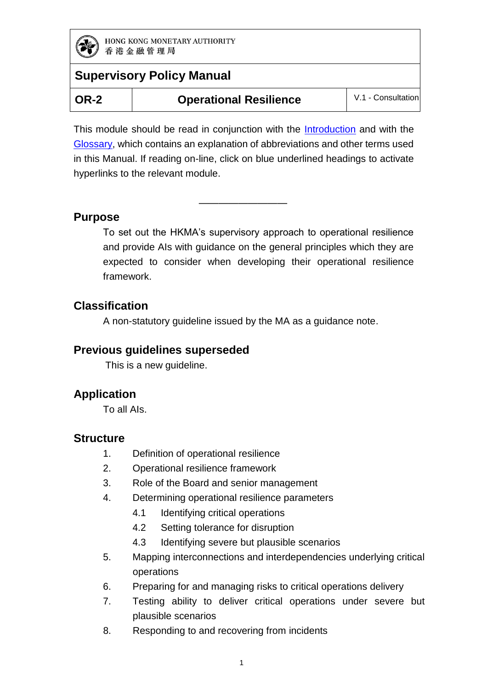

**Operational Resilience** | V.1 - Consultation

This module should be read in conjunction with the **Introduction** and with the [Glossary,](https://www.hkma.gov.hk/media/eng/doc/key-functions/banking-stability/supervisory-policy-manual/GL.pdf) which contains an explanation of abbreviations and other terms used in this Manual. If reading on-line, click on blue underlined headings to activate hyperlinks to the relevant module.

—————————

### **Purpose**

To set out the HKMA's supervisory approach to operational resilience and provide AIs with guidance on the general principles which they are expected to consider when developing their operational resilience framework.

### **Classification**

A non-statutory guideline issued by the MA as a guidance note.

### **Previous guidelines superseded**

This is a new guideline.

### **Application**

To all AIs.

### **Structure**

- 1. Definition of operational resilience
- 2. Operational resilience framework
- 3. Role of the Board and senior management
- 4. Determining operational resilience parameters
	- 4.1 Identifying critical operations
	- 4.2 Setting tolerance for disruption
	- 4.3 Identifying severe but plausible scenarios
- 5. Mapping interconnections and interdependencies underlying critical operations
- 6. Preparing for and managing risks to critical operations delivery
- 7. Testing ability to deliver critical operations under severe but plausible scenarios
- 8. Responding to and recovering from incidents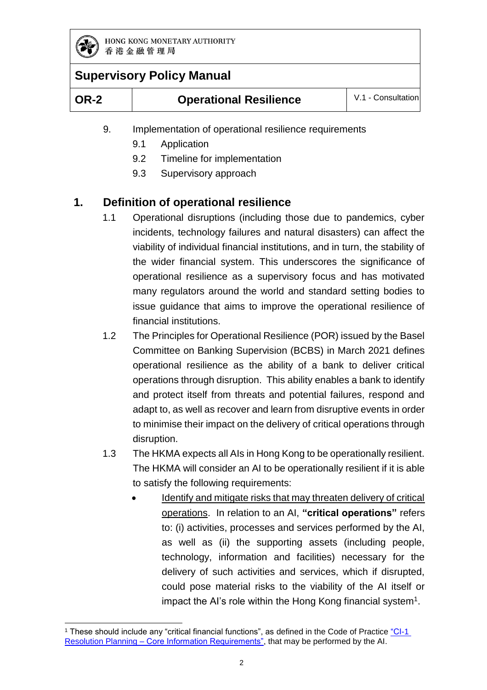

# **Supervisory Policy Manual**

| <b>OR-2</b> | <b>Operational Resilience</b> | V.1 - Consultation |
|-------------|-------------------------------|--------------------|
|             |                               |                    |

- 9. Implementation of operational resilience requirements
	- 9.1 Application
	- 9.2 Timeline for implementation
	- 9.3 Supervisory approach

### **1. Definition of operational resilience**

- 1.1 Operational disruptions (including those due to pandemics, cyber incidents, technology failures and natural disasters) can affect the viability of individual financial institutions, and in turn, the stability of the wider financial system. This underscores the significance of operational resilience as a supervisory focus and has motivated many regulators around the world and standard setting bodies to issue guidance that aims to improve the operational resilience of financial institutions.
- 1.2 The Principles for Operational Resilience (POR) issued by the Basel Committee on Banking Supervision (BCBS) in March 2021 defines operational resilience as the ability of a bank to deliver critical operations through disruption. This ability enables a bank to identify and protect itself from threats and potential failures, respond and adapt to, as well as recover and learn from disruptive events in order to minimise their impact on the delivery of critical operations through disruption.
- 1.3 The HKMA expects all AIs in Hong Kong to be operationally resilient. The HKMA will consider an AI to be operationally resilient if it is able to satisfy the following requirements:
	- Identify and mitigate risks that may threaten delivery of critical operations. In relation to an AI, **"critical operations"** refers to: (i) activities, processes and services performed by the AI, as well as (ii) the supporting assets (including people, technology, information and facilities) necessary for the delivery of such activities and services, which if disrupted, could pose material risks to the viability of the AI itself or impact the AI's role within the Hong Kong financial system<sup>1</sup>.

<sup>-</sup><sup>1</sup> These should include any "critical financial functions", as defined in the Code of Practice "CI-1 Resolution Planning – [Core Information Requirements",](https://www.hkma.gov.hk/media/eng/doc/key-functions/banking-stability/resolutions/CI-1_Resolution_Planning_Core_Information_Requirements.pdf) that may be performed by the AI.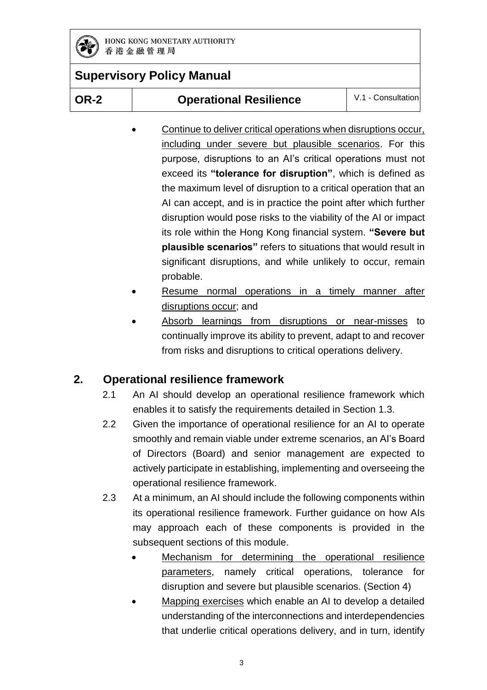

**OR-2 Operational Resilience** V.1 - Consultation

- Continue to deliver critical operations when disruptions occur, including under severe but plausible scenarios. For this purpose, disruptions to an AI's critical operations must not exceed its **"tolerance for disruption"**, which is defined as the maximum level of disruption to a critical operation that an AI can accept, and is in practice the point after which further disruption would pose risks to the viability of the AI or impact its role within the Hong Kong financial system. **"Severe but plausible scenarios"** refers to situations that would result in significant disruptions, and while unlikely to occur, remain probable.
- Resume normal operations in a timely manner after disruptions occur; and
- Absorb learnings from disruptions or near-misses to continually improve its ability to prevent, adapt to and recover from risks and disruptions to critical operations delivery.

# **2. Operational resilience framework**

- 2.1 An AI should develop an operational resilience framework which enables it to satisfy the requirements detailed in Section 1.3.
- 2.2 Given the importance of operational resilience for an AI to operate smoothly and remain viable under extreme scenarios, an AI's Board of Directors (Board) and senior management are expected to actively participate in establishing, implementing and overseeing the operational resilience framework.
- 2.3 At a minimum, an AI should include the following components within its operational resilience framework. Further guidance on how AIs may approach each of these components is provided in the subsequent sections of this module.
	- Mechanism for determining the operational resilience parameters, namely critical operations, tolerance for disruption and severe but plausible scenarios. (Section 4)
	- Mapping exercises which enable an AI to develop a detailed understanding of the interconnections and interdependencies that underlie critical operations delivery, and in turn, identify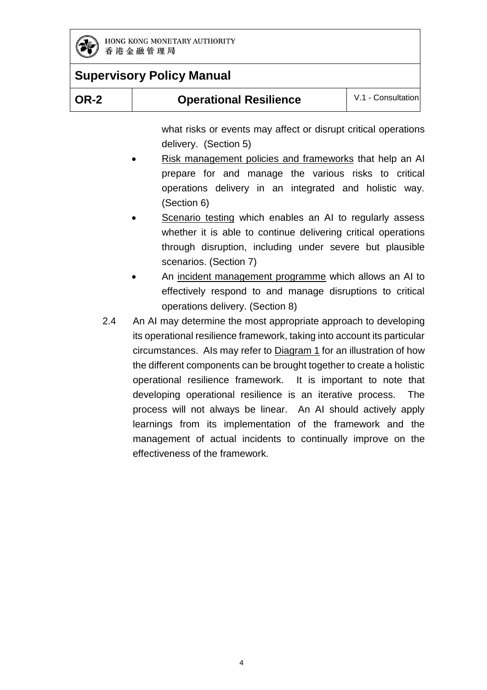

| <b>OR-2</b> | <b>Operational Resilience</b> | V.1 - Consultation |
|-------------|-------------------------------|--------------------|
|-------------|-------------------------------|--------------------|

what risks or events may affect or disrupt critical operations delivery. (Section 5)

- Risk management policies and frameworks that help an AI prepare for and manage the various risks to critical operations delivery in an integrated and holistic way. (Section 6)
- Scenario testing which enables an AI to regularly assess whether it is able to continue delivering critical operations through disruption, including under severe but plausible scenarios. (Section 7)
- An incident management programme which allows an AI to effectively respond to and manage disruptions to critical operations delivery. (Section 8)
- 2.4 An AI may determine the most appropriate approach to developing its operational resilience framework, taking into account its particular circumstances. AIs may refer to Diagram 1 for an illustration of how the different components can be brought together to create a holistic operational resilience framework. It is important to note that developing operational resilience is an iterative process. The process will not always be linear. An AI should actively apply learnings from its implementation of the framework and the management of actual incidents to continually improve on the effectiveness of the framework.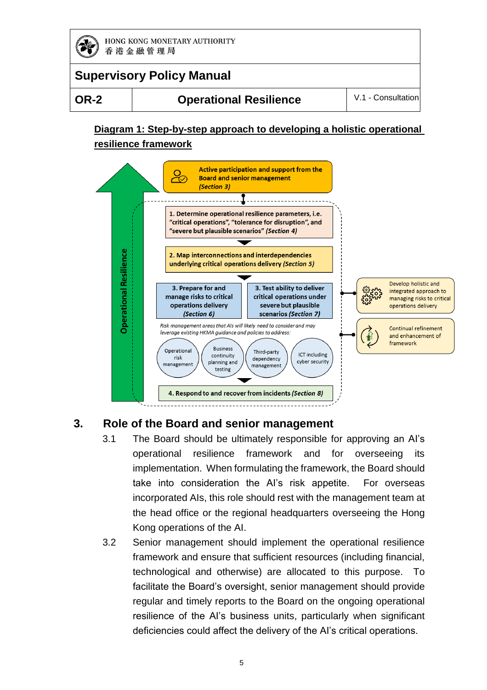

# **Supervisory Policy Manual**

**OR-2 Operational Resilience** V.1 - Consultation

### **Diagram 1: Step-by-step approach to developing a holistic operational resilience framework**



### **3. Role of the Board and senior management**

- 3.1 The Board should be ultimately responsible for approving an AI's operational resilience framework and for overseeing its implementation. When formulating the framework, the Board should take into consideration the AI's risk appetite. For overseas incorporated AIs, this role should rest with the management team at the head office or the regional headquarters overseeing the Hong Kong operations of the AI.
- 3.2 Senior management should implement the operational resilience framework and ensure that sufficient resources (including financial, technological and otherwise) are allocated to this purpose. To facilitate the Board's oversight, senior management should provide regular and timely reports to the Board on the ongoing operational resilience of the AI's business units, particularly when significant deficiencies could affect the delivery of the AI's critical operations.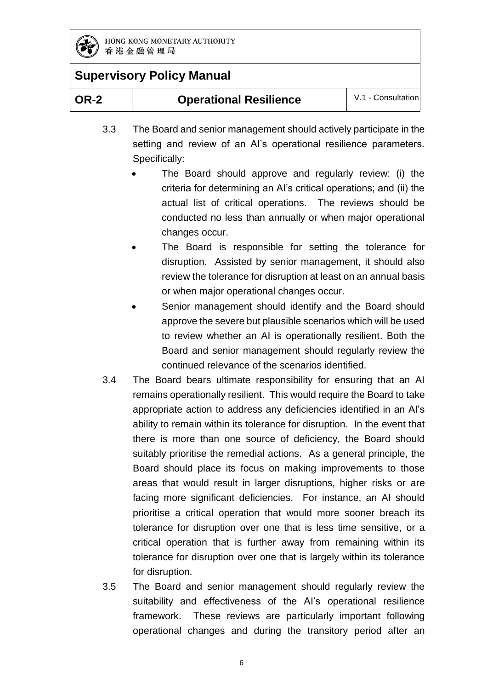

| V.1 - Consultation<br><b>Operational Resilience</b><br>OR-2 |
|-------------------------------------------------------------|
|-------------------------------------------------------------|

- 3.3 The Board and senior management should actively participate in the setting and review of an AI's operational resilience parameters. Specifically:
	- The Board should approve and regularly review: (i) the criteria for determining an AI's critical operations; and (ii) the actual list of critical operations. The reviews should be conducted no less than annually or when major operational changes occur.
	- The Board is responsible for setting the tolerance for disruption. Assisted by senior management, it should also review the tolerance for disruption at least on an annual basis or when major operational changes occur.
	- Senior management should identify and the Board should approve the severe but plausible scenarios which will be used to review whether an AI is operationally resilient. Both the Board and senior management should regularly review the continued relevance of the scenarios identified.
- 3.4 The Board bears ultimate responsibility for ensuring that an AI remains operationally resilient. This would require the Board to take appropriate action to address any deficiencies identified in an AI's ability to remain within its tolerance for disruption. In the event that there is more than one source of deficiency, the Board should suitably prioritise the remedial actions. As a general principle, the Board should place its focus on making improvements to those areas that would result in larger disruptions, higher risks or are facing more significant deficiencies. For instance, an AI should prioritise a critical operation that would more sooner breach its tolerance for disruption over one that is less time sensitive, or a critical operation that is further away from remaining within its tolerance for disruption over one that is largely within its tolerance for disruption.
- 3.5 The Board and senior management should regularly review the suitability and effectiveness of the AI's operational resilience framework. These reviews are particularly important following operational changes and during the transitory period after an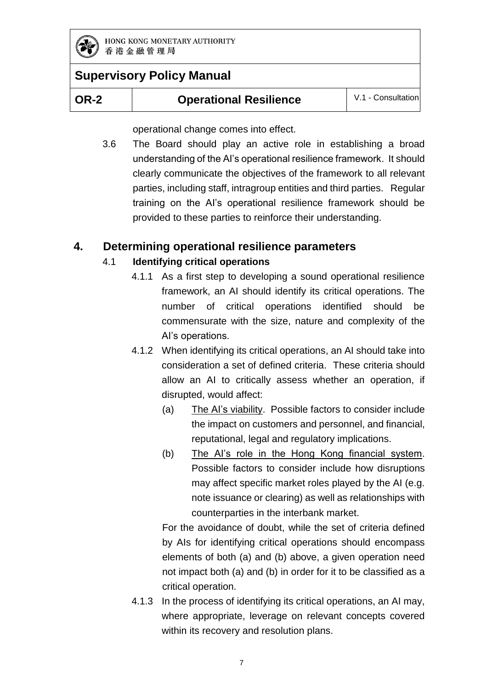

# **OR-2 Operational Resilience** V.1 - Consultation

operational change comes into effect.

3.6 The Board should play an active role in establishing a broad understanding of the AI's operational resilience framework. It should clearly communicate the objectives of the framework to all relevant parties, including staff, intragroup entities and third parties. Regular training on the AI's operational resilience framework should be provided to these parties to reinforce their understanding.

### **4. Determining operational resilience parameters**

### 4.1 **Identifying critical operations**

- 4.1.1 As a first step to developing a sound operational resilience framework, an AI should identify its critical operations. The number of critical operations identified should be commensurate with the size, nature and complexity of the AI's operations.
- 4.1.2 When identifying its critical operations, an AI should take into consideration a set of defined criteria. These criteria should allow an AI to critically assess whether an operation, if disrupted, would affect:
	- (a) The AI's viability. Possible factors to consider include the impact on customers and personnel, and financial, reputational, legal and regulatory implications.
	- (b) The AI's role in the Hong Kong financial system. Possible factors to consider include how disruptions may affect specific market roles played by the AI (e.g. note issuance or clearing) as well as relationships with counterparties in the interbank market.

For the avoidance of doubt, while the set of criteria defined by AIs for identifying critical operations should encompass elements of both (a) and (b) above, a given operation need not impact both (a) and (b) in order for it to be classified as a critical operation.

4.1.3 In the process of identifying its critical operations, an AI may, where appropriate, leverage on relevant concepts covered within its recovery and resolution plans.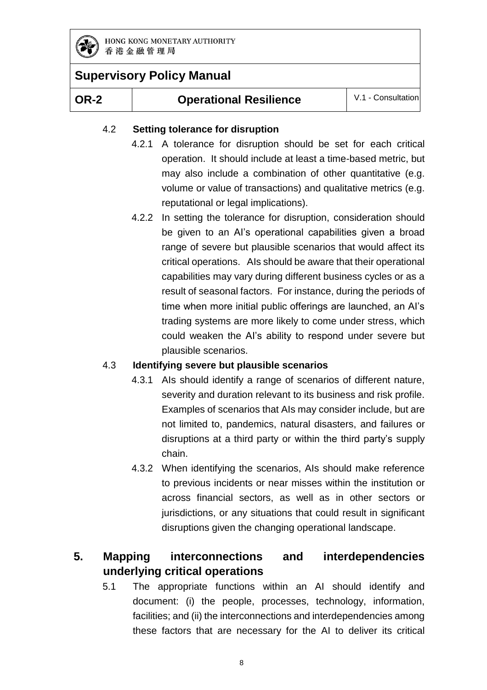

# **Supervisory Policy Manual**

#### **OR-2 Operational Resilience** V.1 - Consultation

#### 4.2 **Setting tolerance for disruption**

- 4.2.1 A tolerance for disruption should be set for each critical operation. It should include at least a time-based metric, but may also include a combination of other quantitative (e.g. volume or value of transactions) and qualitative metrics (e.g. reputational or legal implications).
- 4.2.2 In setting the tolerance for disruption, consideration should be given to an AI's operational capabilities given a broad range of severe but plausible scenarios that would affect its critical operations. AIs should be aware that their operational capabilities may vary during different business cycles or as a result of seasonal factors. For instance, during the periods of time when more initial public offerings are launched, an AI's trading systems are more likely to come under stress, which could weaken the AI's ability to respond under severe but plausible scenarios.

#### 4.3 **Identifying severe but plausible scenarios**

- 4.3.1 AIs should identify a range of scenarios of different nature, severity and duration relevant to its business and risk profile. Examples of scenarios that AIs may consider include, but are not limited to, pandemics, natural disasters, and failures or disruptions at a third party or within the third party's supply chain.
- 4.3.2 When identifying the scenarios, AIs should make reference to previous incidents or near misses within the institution or across financial sectors, as well as in other sectors or jurisdictions, or any situations that could result in significant disruptions given the changing operational landscape.

### **5. Mapping interconnections and interdependencies underlying critical operations**

5.1 The appropriate functions within an AI should identify and document: (i) the people, processes, technology, information, facilities; and (ii) the interconnections and interdependencies among these factors that are necessary for the AI to deliver its critical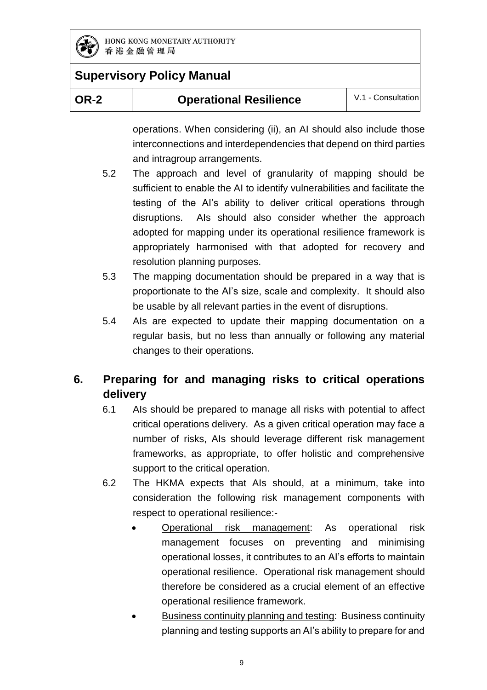

| <b>OR-2</b> | <b>Operational Resilience</b> | V.1 - Consultation |
|-------------|-------------------------------|--------------------|
|             |                               |                    |

operations. When considering (ii), an AI should also include those interconnections and interdependencies that depend on third parties and intragroup arrangements.

- 5.2 The approach and level of granularity of mapping should be sufficient to enable the AI to identify vulnerabilities and facilitate the testing of the AI's ability to deliver critical operations through disruptions. AIs should also consider whether the approach adopted for mapping under its operational resilience framework is appropriately harmonised with that adopted for recovery and resolution planning purposes.
- 5.3 The mapping documentation should be prepared in a way that is proportionate to the AI's size, scale and complexity. It should also be usable by all relevant parties in the event of disruptions.
- 5.4 AIs are expected to update their mapping documentation on a regular basis, but no less than annually or following any material changes to their operations.

# **6. Preparing for and managing risks to critical operations delivery**

- 6.1 AIs should be prepared to manage all risks with potential to affect critical operations delivery. As a given critical operation may face a number of risks, AIs should leverage different risk management frameworks, as appropriate, to offer holistic and comprehensive support to the critical operation.
- 6.2 The HKMA expects that AIs should, at a minimum, take into consideration the following risk management components with respect to operational resilience:-
	- Operational risk management: As operational risk management focuses on preventing and minimising operational losses, it contributes to an AI's efforts to maintain operational resilience. Operational risk management should therefore be considered as a crucial element of an effective operational resilience framework.
	- Business continuity planning and testing: Business continuity planning and testing supports an AI's ability to prepare for and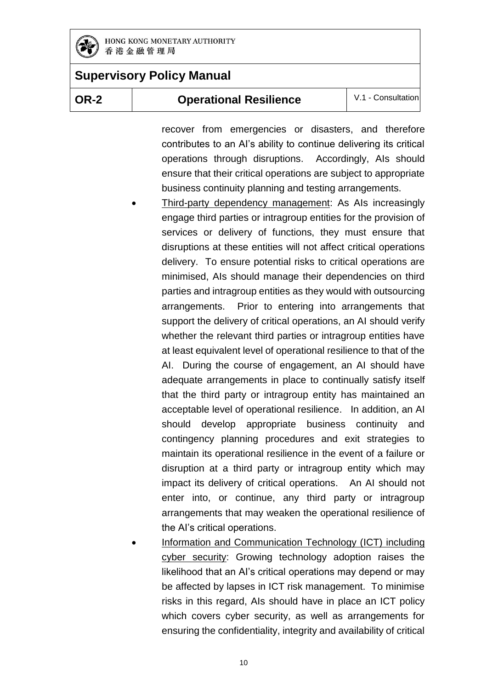

# **Supervisory Policy Manual**

#### **OR-2 Operational Resilience** V.1 - Consultation

recover from emergencies or disasters, and therefore contributes to an AI's ability to continue delivering its critical operations through disruptions. Accordingly, AIs should ensure that their critical operations are subject to appropriate business continuity planning and testing arrangements.

- Third-party dependency management: As AIs increasingly engage third parties or intragroup entities for the provision of services or delivery of functions, they must ensure that disruptions at these entities will not affect critical operations delivery. To ensure potential risks to critical operations are minimised, AIs should manage their dependencies on third parties and intragroup entities as they would with outsourcing arrangements. Prior to entering into arrangements that support the delivery of critical operations, an AI should verify whether the relevant third parties or intragroup entities have at least equivalent level of operational resilience to that of the AI. During the course of engagement, an AI should have adequate arrangements in place to continually satisfy itself that the third party or intragroup entity has maintained an acceptable level of operational resilience. In addition, an AI should develop appropriate business continuity and contingency planning procedures and exit strategies to maintain its operational resilience in the event of a failure or disruption at a third party or intragroup entity which may impact its delivery of critical operations. An AI should not enter into, or continue, any third party or intragroup arrangements that may weaken the operational resilience of the AI's critical operations.
- Information and Communication Technology (ICT) including cyber security: Growing technology adoption raises the likelihood that an AI's critical operations may depend or may be affected by lapses in ICT risk management. To minimise risks in this regard, AIs should have in place an ICT policy which covers cyber security, as well as arrangements for ensuring the confidentiality, integrity and availability of critical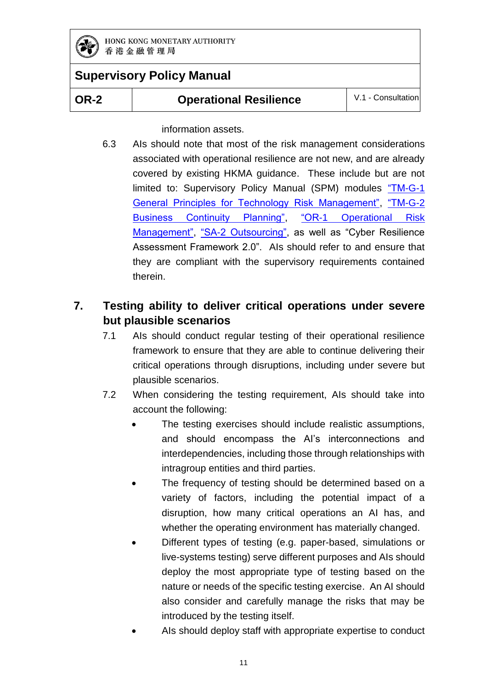

# **Supervisory Policy Manual**

information assets.

6.3 AIs should note that most of the risk management considerations associated with operational resilience are not new, and are already covered by existing HKMA guidance. These include but are not limited to: Supervisory Policy Manual (SPM) modules "TM-G-1 [General Principles for Technology Risk Management",](https://www.hkma.gov.hk/media/eng/doc/key-functions/banking-stability/supervisory-policy-manual/TM-G-1.pdf) ["TM-G-2](https://www.hkma.gov.hk/media/eng/doc/key-functions/banking-stability/supervisory-policy-manual/TM-G-2.pdf)  [Business Continuity Planning",](https://www.hkma.gov.hk/media/eng/doc/key-functions/banking-stability/supervisory-policy-manual/TM-G-2.pdf) ["OR-1 Operational Risk](https://www.hkma.gov.hk/media/eng/doc/key-functions/banking-stability/supervisory-policy-manual/OR-1.pdf)  [Management",](https://www.hkma.gov.hk/media/eng/doc/key-functions/banking-stability/supervisory-policy-manual/OR-1.pdf) ["SA-2 Outsourcing",](https://www.hkma.gov.hk/media/eng/doc/key-functions/banking-stability/supervisory-policy-manual/SA-2.pdf) as well as "Cyber Resilience Assessment Framework 2.0". AIs should refer to and ensure that they are compliant with the supervisory requirements contained therein.

### **7. Testing ability to deliver critical operations under severe but plausible scenarios**

- 7.1 AIs should conduct regular testing of their operational resilience framework to ensure that they are able to continue delivering their critical operations through disruptions, including under severe but plausible scenarios.
- 7.2 When considering the testing requirement, AIs should take into account the following:
	- The testing exercises should include realistic assumptions, and should encompass the AI's interconnections and interdependencies, including those through relationships with intragroup entities and third parties.
	- The frequency of testing should be determined based on a variety of factors, including the potential impact of a disruption, how many critical operations an AI has, and whether the operating environment has materially changed.
	- Different types of testing (e.g. paper-based, simulations or live-systems testing) serve different purposes and AIs should deploy the most appropriate type of testing based on the nature or needs of the specific testing exercise. An AI should also consider and carefully manage the risks that may be introduced by the testing itself.
	- AIs should deploy staff with appropriate expertise to conduct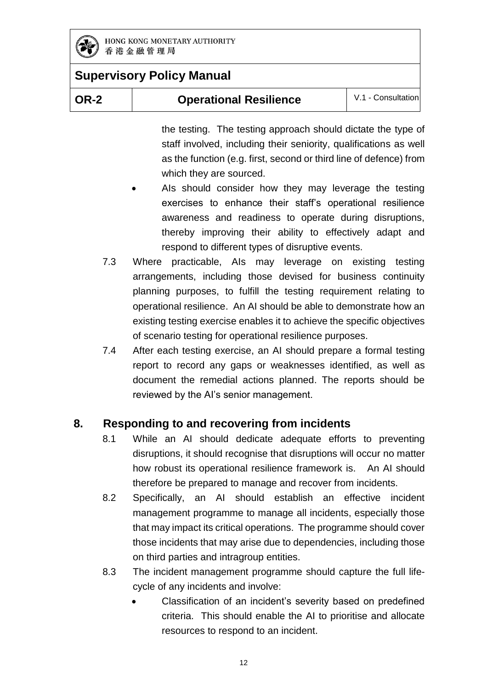

| <b>OR-2</b> | <b>Operational Resilience</b> | V.1 - Consultation |
|-------------|-------------------------------|--------------------|
|-------------|-------------------------------|--------------------|

the testing. The testing approach should dictate the type of staff involved, including their seniority, qualifications as well as the function (e.g. first, second or third line of defence) from which they are sourced.

- AIs should consider how they may leverage the testing exercises to enhance their staff's operational resilience awareness and readiness to operate during disruptions, thereby improving their ability to effectively adapt and respond to different types of disruptive events.
- 7.3 Where practicable, AIs may leverage on existing testing arrangements, including those devised for business continuity planning purposes, to fulfill the testing requirement relating to operational resilience. An AI should be able to demonstrate how an existing testing exercise enables it to achieve the specific objectives of scenario testing for operational resilience purposes.
- 7.4 After each testing exercise, an AI should prepare a formal testing report to record any gaps or weaknesses identified, as well as document the remedial actions planned. The reports should be reviewed by the AI's senior management.

### **8. Responding to and recovering from incidents**

- 8.1 While an AI should dedicate adequate efforts to preventing disruptions, it should recognise that disruptions will occur no matter how robust its operational resilience framework is. An AI should therefore be prepared to manage and recover from incidents.
- 8.2 Specifically, an AI should establish an effective incident management programme to manage all incidents, especially those that may impact its critical operations. The programme should cover those incidents that may arise due to dependencies, including those on third parties and intragroup entities.
- 8.3 The incident management programme should capture the full lifecycle of any incidents and involve:
	- Classification of an incident's severity based on predefined criteria. This should enable the AI to prioritise and allocate resources to respond to an incident.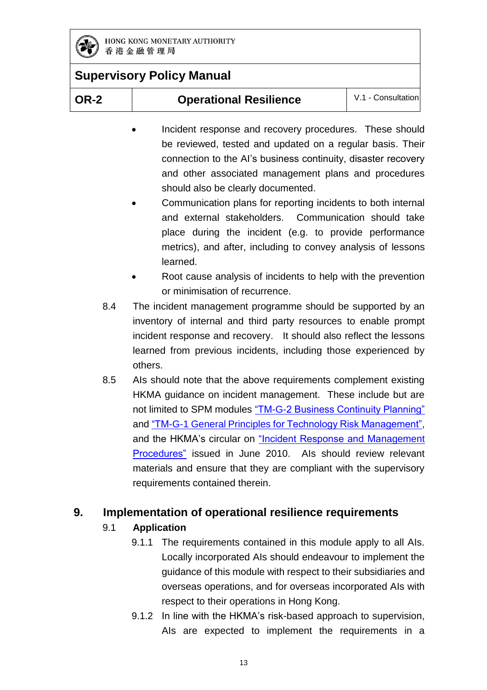

| )R-2 |  |
|------|--|
|      |  |

**OR-2 Operational Resilience** V.1 - Consultation

- Incident response and recovery procedures. These should be reviewed, tested and updated on a regular basis. Their connection to the AI's business continuity, disaster recovery and other associated management plans and procedures should also be clearly documented.
- Communication plans for reporting incidents to both internal and external stakeholders. Communication should take place during the incident (e.g. to provide performance metrics), and after, including to convey analysis of lessons learned.
- Root cause analysis of incidents to help with the prevention or minimisation of recurrence.
- 8.4 The incident management programme should be supported by an inventory of internal and third party resources to enable prompt incident response and recovery. It should also reflect the lessons learned from previous incidents, including those experienced by others.
- 8.5 AIs should note that the above requirements complement existing HKMA guidance on incident management. These include but are not limited to SPM modules ["TM-G-2 Business Continuity Planning"](https://www.hkma.gov.hk/media/eng/doc/key-functions/banking-stability/supervisory-policy-manual/TM-G-2.pdf) and ["TM-G-1 General Principles for Technology Risk Management",](https://www.hkma.gov.hk/media/eng/doc/key-functions/banking-stability/supervisory-policy-manual/TM-G-1.pdf) and the HKMA's circular on "Incident Response and Management [Procedures"](https://www.hkma.gov.hk/media/eng/doc/key-information/guidelines-and-circular/2010/20100622e1.pdf) issued in June 2010. AIs should review relevant materials and ensure that they are compliant with the supervisory requirements contained therein.

### **9. Implementation of operational resilience requirements**

- 9.1 **Application**
	- 9.1.1 The requirements contained in this module apply to all AIs. Locally incorporated AIs should endeavour to implement the guidance of this module with respect to their subsidiaries and overseas operations, and for overseas incorporated AIs with respect to their operations in Hong Kong.
	- 9.1.2 In line with the HKMA's risk-based approach to supervision, AIs are expected to implement the requirements in a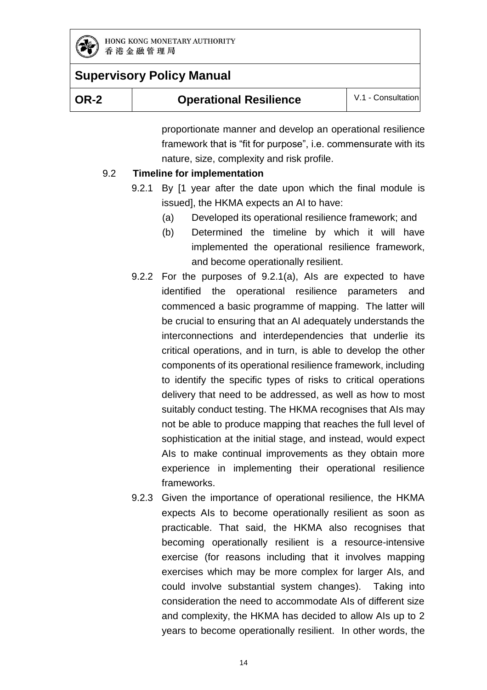

| <b>OR-2</b> | <b>Operational Resilience</b> | V.1 - Consultation |
|-------------|-------------------------------|--------------------|
|-------------|-------------------------------|--------------------|

proportionate manner and develop an operational resilience framework that is "fit for purpose", i.e. commensurate with its nature, size, complexity and risk profile.

#### 9.2 **Timeline for implementation**

- 9.2.1 By [1 year after the date upon which the final module is issued], the HKMA expects an AI to have:
	- (a) Developed its operational resilience framework; and
	- (b) Determined the timeline by which it will have implemented the operational resilience framework, and become operationally resilient.
- 9.2.2 For the purposes of 9.2.1(a), AIs are expected to have identified the operational resilience parameters and commenced a basic programme of mapping. The latter will be crucial to ensuring that an AI adequately understands the interconnections and interdependencies that underlie its critical operations, and in turn, is able to develop the other components of its operational resilience framework, including to identify the specific types of risks to critical operations delivery that need to be addressed, as well as how to most suitably conduct testing. The HKMA recognises that AIs may not be able to produce mapping that reaches the full level of sophistication at the initial stage, and instead, would expect AIs to make continual improvements as they obtain more experience in implementing their operational resilience frameworks.
- 9.2.3 Given the importance of operational resilience, the HKMA expects AIs to become operationally resilient as soon as practicable. That said, the HKMA also recognises that becoming operationally resilient is a resource-intensive exercise (for reasons including that it involves mapping exercises which may be more complex for larger AIs, and could involve substantial system changes). Taking into consideration the need to accommodate AIs of different size and complexity, the HKMA has decided to allow AIs up to 2 years to become operationally resilient. In other words, the